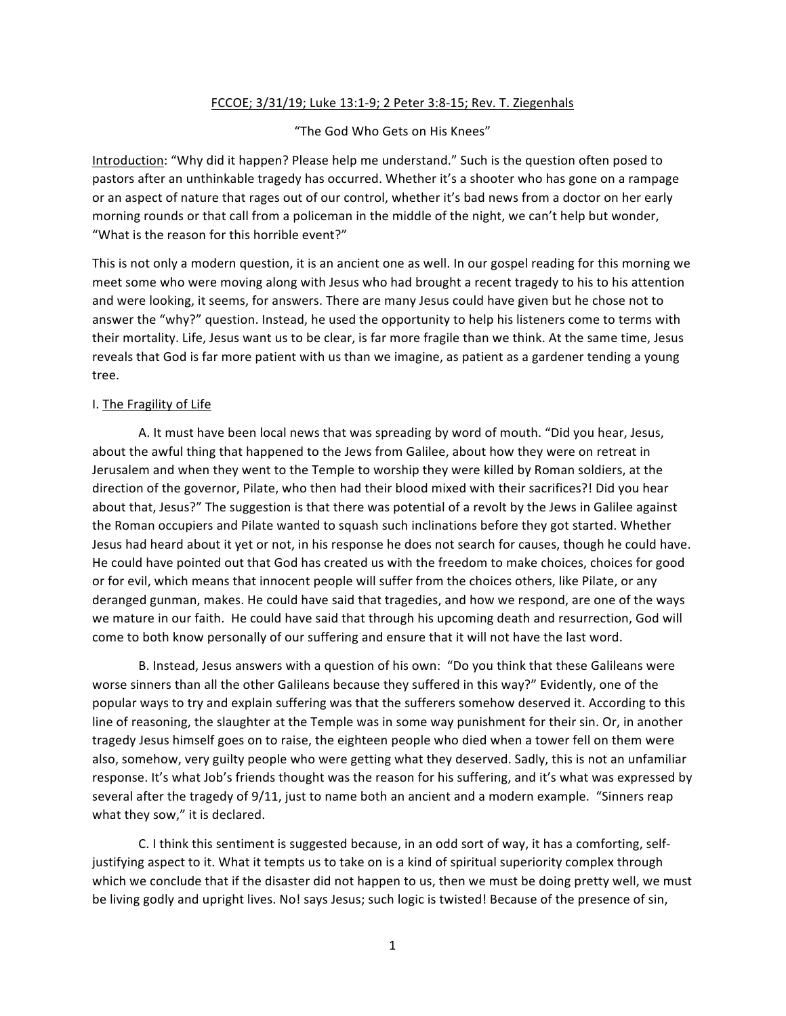## FCCOE; 3/31/19; Luke 13:1-9; 2 Peter 3:8-15; Rev. T. Ziegenhals

"The God Who Gets on His Knees"

Introduction: "Why did it happen? Please help me understand." Such is the question often posed to pastors after an unthinkable tragedy has occurred. Whether it's a shooter who has gone on a rampage or an aspect of nature that rages out of our control, whether it's bad news from a doctor on her early morning rounds or that call from a policeman in the middle of the night, we can't help but wonder, "What is the reason for this horrible event?"

This is not only a modern question, it is an ancient one as well. In our gospel reading for this morning we meet some who were moving along with Jesus who had brought a recent tragedy to his to his attention and were looking, it seems, for answers. There are many Jesus could have given but he chose not to answer the "why?" question. Instead, he used the opportunity to help his listeners come to terms with their mortality. Life, Jesus want us to be clear, is far more fragile than we think. At the same time, Jesus reveals that God is far more patient with us than we imagine, as patient as a gardener tending a young tree. 

## I. The Fragility of Life

A. It must have been local news that was spreading by word of mouth. "Did you hear, Jesus, about the awful thing that happened to the Jews from Galilee, about how they were on retreat in Jerusalem and when they went to the Temple to worship they were killed by Roman soldiers, at the direction of the governor, Pilate, who then had their blood mixed with their sacrifices?! Did you hear about that, Jesus?" The suggestion is that there was potential of a revolt by the Jews in Galilee against the Roman occupiers and Pilate wanted to squash such inclinations before they got started. Whether Jesus had heard about it yet or not, in his response he does not search for causes, though he could have. He could have pointed out that God has created us with the freedom to make choices, choices for good or for evil, which means that innocent people will suffer from the choices others, like Pilate, or any deranged gunman, makes. He could have said that tragedies, and how we respond, are one of the ways we mature in our faith. He could have said that through his upcoming death and resurrection, God will come to both know personally of our suffering and ensure that it will not have the last word.

B. Instead, Jesus answers with a question of his own: "Do you think that these Galileans were worse sinners than all the other Galileans because they suffered in this way?" Evidently, one of the popular ways to try and explain suffering was that the sufferers somehow deserved it. According to this line of reasoning, the slaughter at the Temple was in some way punishment for their sin. Or, in another tragedy Jesus himself goes on to raise, the eighteen people who died when a tower fell on them were also, somehow, very guilty people who were getting what they deserved. Sadly, this is not an unfamiliar response. It's what Job's friends thought was the reason for his suffering, and it's what was expressed by several after the tragedy of 9/11, just to name both an ancient and a modern example. "Sinners reap what they sow," it is declared.

C. I think this sentiment is suggested because, in an odd sort of way, it has a comforting, selfjustifying aspect to it. What it tempts us to take on is a kind of spiritual superiority complex through which we conclude that if the disaster did not happen to us, then we must be doing pretty well, we must be living godly and upright lives. No! says Jesus; such logic is twisted! Because of the presence of sin,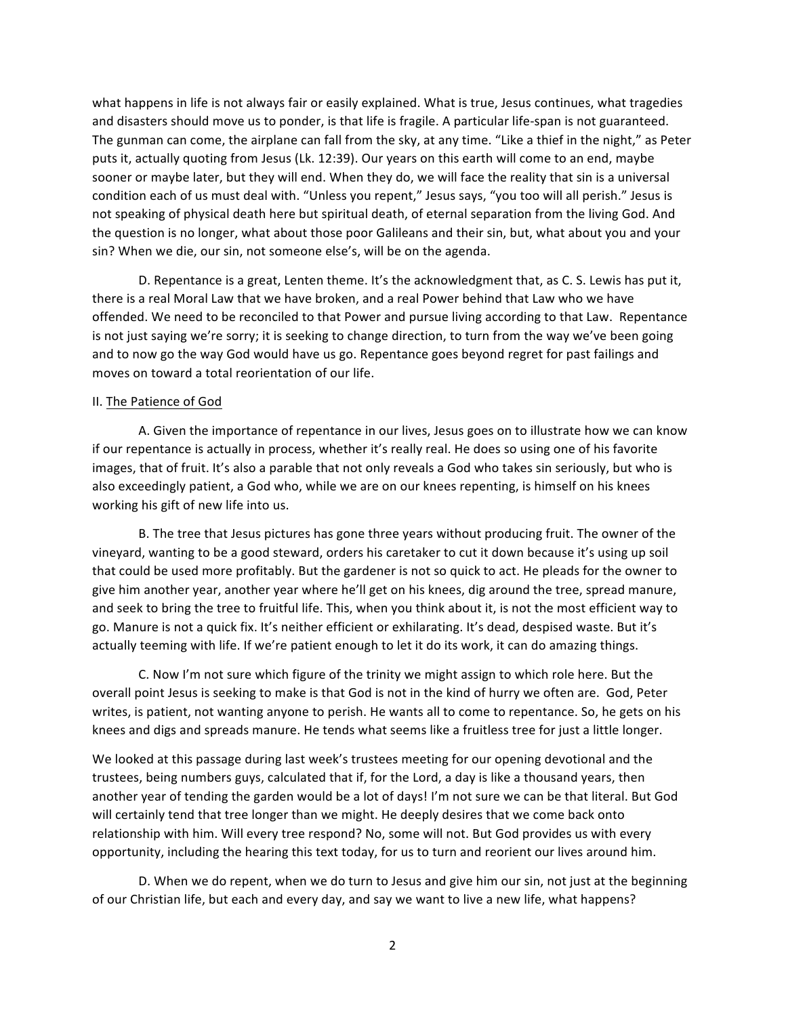what happens in life is not always fair or easily explained. What is true, Jesus continues, what tragedies and disasters should move us to ponder, is that life is fragile. A particular life-span is not guaranteed. The gunman can come, the airplane can fall from the sky, at any time. "Like a thief in the night," as Peter puts it, actually quoting from Jesus (Lk. 12:39). Our years on this earth will come to an end, maybe sooner or maybe later, but they will end. When they do, we will face the reality that sin is a universal condition each of us must deal with. "Unless you repent," Jesus says, "you too will all perish." Jesus is not speaking of physical death here but spiritual death, of eternal separation from the living God. And the question is no longer, what about those poor Galileans and their sin, but, what about you and your sin? When we die, our sin, not someone else's, will be on the agenda.

D. Repentance is a great, Lenten theme. It's the acknowledgment that, as C. S. Lewis has put it, there is a real Moral Law that we have broken, and a real Power behind that Law who we have offended. We need to be reconciled to that Power and pursue living according to that Law. Repentance is not just saying we're sorry; it is seeking to change direction, to turn from the way we've been going and to now go the way God would have us go. Repentance goes beyond regret for past failings and moves on toward a total reorientation of our life.

## II. The Patience of God

A. Given the importance of repentance in our lives, Jesus goes on to illustrate how we can know if our repentance is actually in process, whether it's really real. He does so using one of his favorite images, that of fruit. It's also a parable that not only reveals a God who takes sin seriously, but who is also exceedingly patient, a God who, while we are on our knees repenting, is himself on his knees working his gift of new life into us.

B. The tree that Jesus pictures has gone three years without producing fruit. The owner of the vineyard, wanting to be a good steward, orders his caretaker to cut it down because it's using up soil that could be used more profitably. But the gardener is not so quick to act. He pleads for the owner to give him another year, another year where he'll get on his knees, dig around the tree, spread manure, and seek to bring the tree to fruitful life. This, when you think about it, is not the most efficient way to go. Manure is not a quick fix. It's neither efficient or exhilarating. It's dead, despised waste. But it's actually teeming with life. If we're patient enough to let it do its work, it can do amazing things.

C. Now I'm not sure which figure of the trinity we might assign to which role here. But the overall point Jesus is seeking to make is that God is not in the kind of hurry we often are. God, Peter writes, is patient, not wanting anyone to perish. He wants all to come to repentance. So, he gets on his knees and digs and spreads manure. He tends what seems like a fruitless tree for just a little longer.

We looked at this passage during last week's trustees meeting for our opening devotional and the trustees, being numbers guys, calculated that if, for the Lord, a day is like a thousand years, then another year of tending the garden would be a lot of days! I'm not sure we can be that literal. But God will certainly tend that tree longer than we might. He deeply desires that we come back onto relationship with him. Will every tree respond? No, some will not. But God provides us with every opportunity, including the hearing this text today, for us to turn and reorient our lives around him.

D. When we do repent, when we do turn to Jesus and give him our sin, not just at the beginning of our Christian life, but each and every day, and say we want to live a new life, what happens?